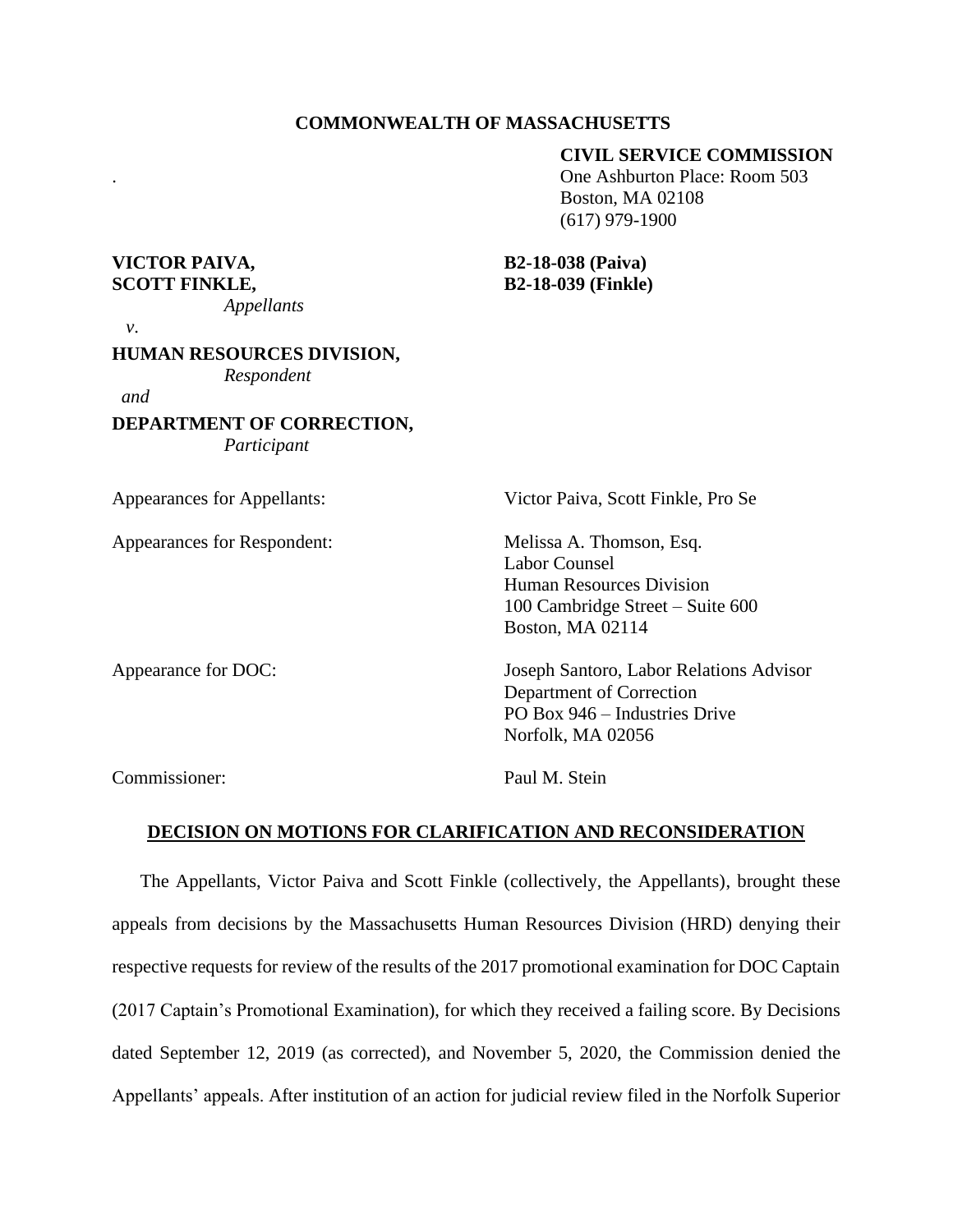#### **COMMONWEALTH OF MASSACHUSETTS**

#### **CIVIL SERVICE COMMISSION**

. One Ashburton Place: Room 503 Boston, MA 02108 (617) 979-1900

### **VICTOR PAIVA, B2-18-038 (Paiva) SCOTT FINKLE, B2-18-039 (Finkle)**

| Appellants |  |  |
|------------|--|--|
|            |  |  |

 *v*.

# **HUMAN RESOURCES DIVISION,**

*Respondent*

*and* 

**DEPARTMENT OF CORRECTION,** *Participant*

Appearances for Appellants: Victor Paiva, Scott Finkle, Pro Se Appearances for Respondent: Melissa A. Thomson, Esq. Labor Counsel Human Resources Division 100 Cambridge Street – Suite 600 Boston, MA 02114 Appearance for DOC: Joseph Santoro, Labor Relations Advisor Department of Correction PO Box 946 – Industries Drive Norfolk, MA 02056 Commissioner: Paul M. Stein

**DECISION ON MOTIONS FOR CLARIFICATION AND RECONSIDERATION**

The Appellants, Victor Paiva and Scott Finkle (collectively, the Appellants), brought these appeals from decisions by the Massachusetts Human Resources Division (HRD) denying their respective requests for review of the results of the 2017 promotional examination for DOC Captain (2017 Captain's Promotional Examination), for which they received a failing score. By Decisions dated September 12, 2019 (as corrected), and November 5, 2020, the Commission denied the Appellants' appeals. After institution of an action for judicial review filed in the Norfolk Superior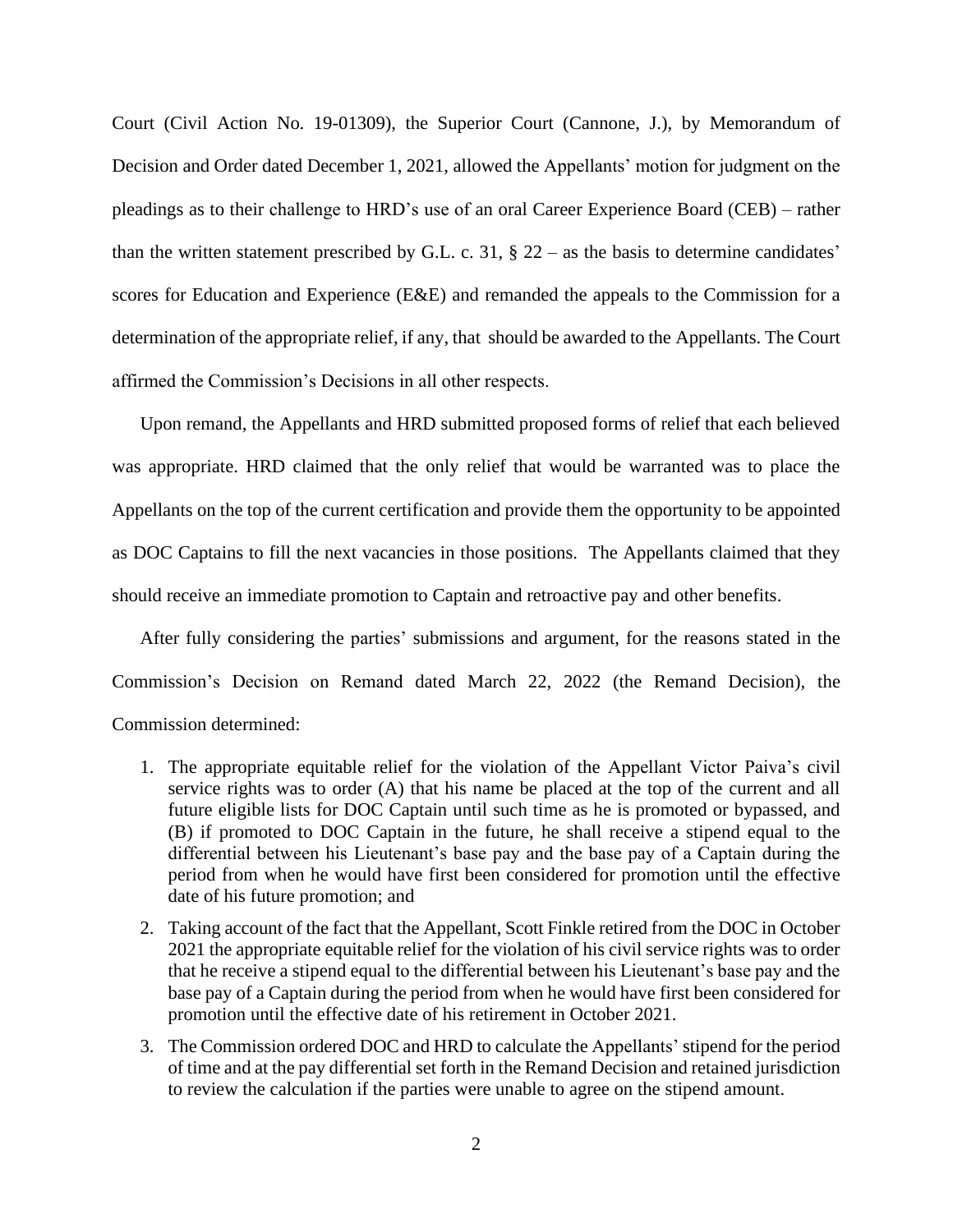Court (Civil Action No. 19-01309), the Superior Court (Cannone, J.), by Memorandum of Decision and Order dated December 1, 2021, allowed the Appellants' motion for judgment on the pleadings as to their challenge to HRD's use of an oral Career Experience Board (CEB) – rather than the written statement prescribed by G.L. c. 31,  $\S 22 - as$  the basis to determine candidates' scores for Education and Experience (E&E) and remanded the appeals to the Commission for a determination of the appropriate relief, if any, that should be awarded to the Appellants. The Court affirmed the Commission's Decisions in all other respects.

Upon remand, the Appellants and HRD submitted proposed forms of relief that each believed was appropriate. HRD claimed that the only relief that would be warranted was to place the Appellants on the top of the current certification and provide them the opportunity to be appointed as DOC Captains to fill the next vacancies in those positions. The Appellants claimed that they should receive an immediate promotion to Captain and retroactive pay and other benefits.

After fully considering the parties' submissions and argument, for the reasons stated in the Commission's Decision on Remand dated March 22, 2022 (the Remand Decision), the Commission determined:

- 1. The appropriate equitable relief for the violation of the Appellant Victor Paiva's civil service rights was to order (A) that his name be placed at the top of the current and all future eligible lists for DOC Captain until such time as he is promoted or bypassed, and (B) if promoted to DOC Captain in the future, he shall receive a stipend equal to the differential between his Lieutenant's base pay and the base pay of a Captain during the period from when he would have first been considered for promotion until the effective date of his future promotion; and
- 2. Taking account of the fact that the Appellant, Scott Finkle retired from the DOC in October 2021 the appropriate equitable relief for the violation of his civil service rights was to order that he receive a stipend equal to the differential between his Lieutenant's base pay and the base pay of a Captain during the period from when he would have first been considered for promotion until the effective date of his retirement in October 2021.
- 3. The Commission ordered DOC and HRD to calculate the Appellants' stipend for the period of time and at the pay differential set forth in the Remand Decision and retained jurisdiction to review the calculation if the parties were unable to agree on the stipend amount.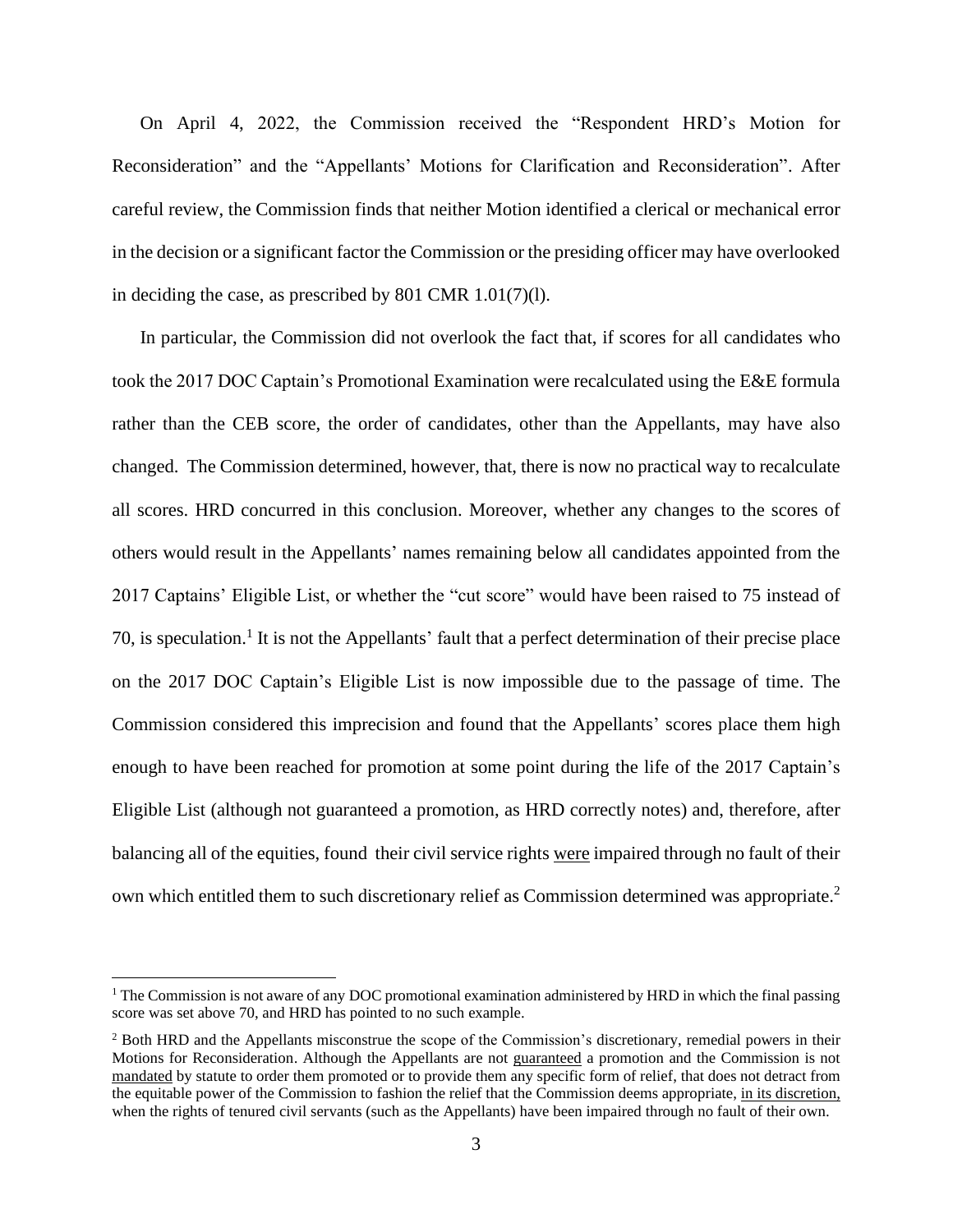On April 4, 2022, the Commission received the "Respondent HRD's Motion for Reconsideration" and the "Appellants' Motions for Clarification and Reconsideration". After careful review, the Commission finds that neither Motion identified a clerical or mechanical error in the decision or a significant factor the Commission or the presiding officer may have overlooked in deciding the case, as prescribed by 801 CMR 1.01(7)(l).

In particular, the Commission did not overlook the fact that, if scores for all candidates who took the 2017 DOC Captain's Promotional Examination were recalculated using the E&E formula rather than the CEB score, the order of candidates, other than the Appellants, may have also changed. The Commission determined, however, that, there is now no practical way to recalculate all scores. HRD concurred in this conclusion. Moreover, whether any changes to the scores of others would result in the Appellants' names remaining below all candidates appointed from the 2017 Captains' Eligible List, or whether the "cut score" would have been raised to 75 instead of 70, is speculation.<sup>1</sup> It is not the Appellants' fault that a perfect determination of their precise place on the 2017 DOC Captain's Eligible List is now impossible due to the passage of time. The Commission considered this imprecision and found that the Appellants' scores place them high enough to have been reached for promotion at some point during the life of the 2017 Captain's Eligible List (although not guaranteed a promotion, as HRD correctly notes) and, therefore, after balancing all of the equities, found their civil service rights were impaired through no fault of their own which entitled them to such discretionary relief as Commission determined was appropriate.<sup>2</sup>

<sup>&</sup>lt;sup>1</sup> The Commission is not aware of any DOC promotional examination administered by HRD in which the final passing score was set above 70, and HRD has pointed to no such example.

<sup>&</sup>lt;sup>2</sup> Both HRD and the Appellants misconstrue the scope of the Commission's discretionary, remedial powers in their Motions for Reconsideration. Although the Appellants are not guaranteed a promotion and the Commission is not mandated by statute to order them promoted or to provide them any specific form of relief, that does not detract from the equitable power of the Commission to fashion the relief that the Commission deems appropriate, in its discretion, when the rights of tenured civil servants (such as the Appellants) have been impaired through no fault of their own.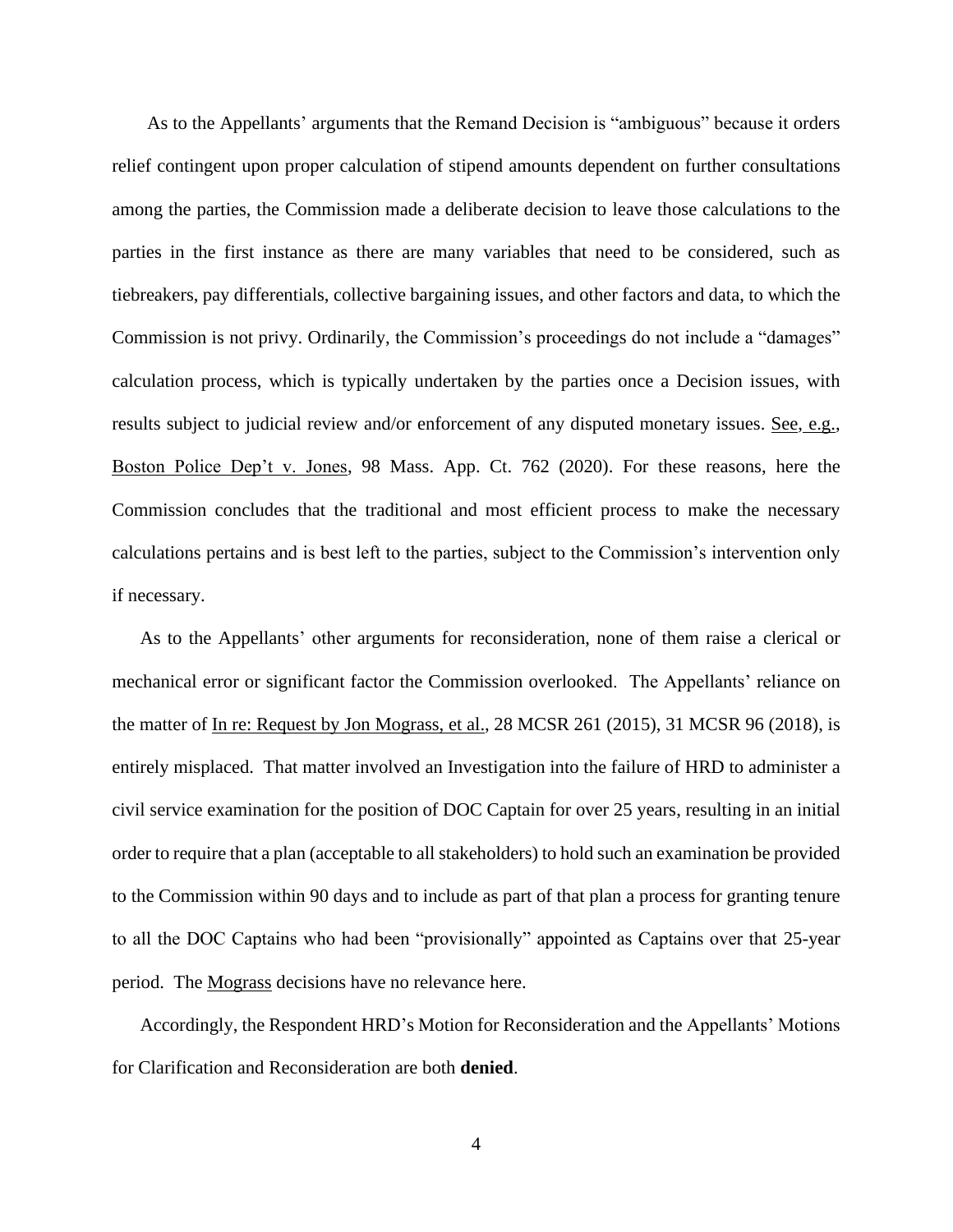As to the Appellants' arguments that the Remand Decision is "ambiguous" because it orders relief contingent upon proper calculation of stipend amounts dependent on further consultations among the parties, the Commission made a deliberate decision to leave those calculations to the parties in the first instance as there are many variables that need to be considered, such as tiebreakers, pay differentials, collective bargaining issues, and other factors and data, to which the Commission is not privy. Ordinarily, the Commission's proceedings do not include a "damages" calculation process, which is typically undertaken by the parties once a Decision issues, with results subject to judicial review and/or enforcement of any disputed monetary issues. See, e.g., Boston Police Dep't v. Jones, 98 Mass. App. Ct. 762 (2020). For these reasons, here the Commission concludes that the traditional and most efficient process to make the necessary calculations pertains and is best left to the parties, subject to the Commission's intervention only if necessary.

As to the Appellants' other arguments for reconsideration, none of them raise a clerical or mechanical error or significant factor the Commission overlooked. The Appellants' reliance on the matter of In re: Request by Jon Mograss, et al., 28 MCSR 261 (2015), 31 MCSR 96 (2018), is entirely misplaced. That matter involved an Investigation into the failure of HRD to administer a civil service examination for the position of DOC Captain for over 25 years, resulting in an initial order to require that a plan (acceptable to all stakeholders) to hold such an examination be provided to the Commission within 90 days and to include as part of that plan a process for granting tenure to all the DOC Captains who had been "provisionally" appointed as Captains over that 25-year period. The Mograss decisions have no relevance here.

Accordingly, the Respondent HRD's Motion for Reconsideration and the Appellants' Motions for Clarification and Reconsideration are both **denied**.